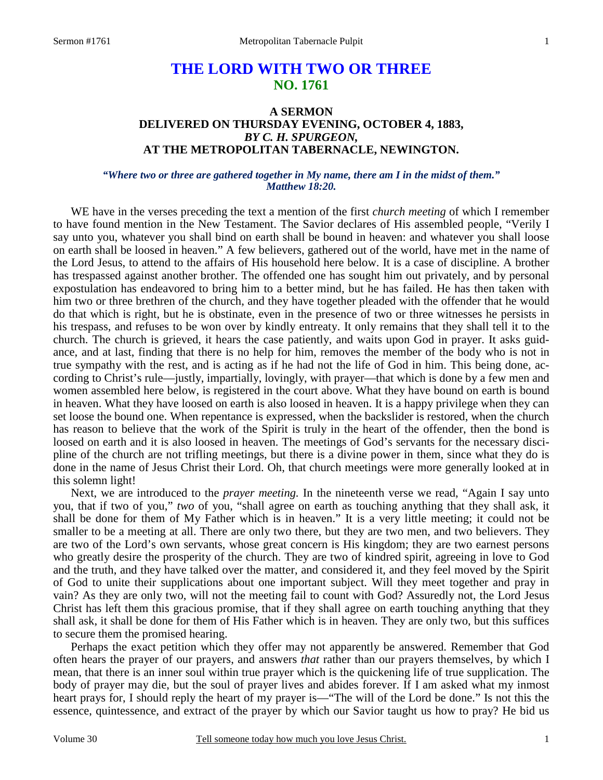# **THE LORD WITH TWO OR THREE NO. 1761**

# **A SERMON DELIVERED ON THURSDAY EVENING, OCTOBER 4, 1883,**  *BY C. H. SPURGEON,*  **AT THE METROPOLITAN TABERNACLE, NEWINGTON.**

### *"Where two or three are gathered together in My name, there am I in the midst of them." Matthew 18:20.*

WE have in the verses preceding the text a mention of the first *church meeting* of which I remember to have found mention in the New Testament. The Savior declares of His assembled people, "Verily I say unto you, whatever you shall bind on earth shall be bound in heaven: and whatever you shall loose on earth shall be loosed in heaven." A few believers, gathered out of the world, have met in the name of the Lord Jesus, to attend to the affairs of His household here below. It is a case of discipline. A brother has trespassed against another brother. The offended one has sought him out privately, and by personal expostulation has endeavored to bring him to a better mind, but he has failed. He has then taken with him two or three brethren of the church, and they have together pleaded with the offender that he would do that which is right, but he is obstinate, even in the presence of two or three witnesses he persists in his trespass, and refuses to be won over by kindly entreaty. It only remains that they shall tell it to the church. The church is grieved, it hears the case patiently, and waits upon God in prayer. It asks guidance, and at last, finding that there is no help for him, removes the member of the body who is not in true sympathy with the rest, and is acting as if he had not the life of God in him. This being done, according to Christ's rule—justly, impartially, lovingly, with prayer—that which is done by a few men and women assembled here below, is registered in the court above. What they have bound on earth is bound in heaven. What they have loosed on earth is also loosed in heaven. It is a happy privilege when they can set loose the bound one. When repentance is expressed, when the backslider is restored, when the church has reason to believe that the work of the Spirit is truly in the heart of the offender, then the bond is loosed on earth and it is also loosed in heaven. The meetings of God's servants for the necessary discipline of the church are not trifling meetings, but there is a divine power in them, since what they do is done in the name of Jesus Christ their Lord. Oh, that church meetings were more generally looked at in this solemn light!

 Next, we are introduced to the *prayer meeting.* In the nineteenth verse we read, "Again I say unto you, that if two of you," *two* of you, "shall agree on earth as touching anything that they shall ask, it shall be done for them of My Father which is in heaven." It is a very little meeting; it could not be smaller to be a meeting at all. There are only two there, but they are two men, and two believers. They are two of the Lord's own servants, whose great concern is His kingdom; they are two earnest persons who greatly desire the prosperity of the church. They are two of kindred spirit, agreeing in love to God and the truth, and they have talked over the matter, and considered it, and they feel moved by the Spirit of God to unite their supplications about one important subject. Will they meet together and pray in vain? As they are only two, will not the meeting fail to count with God? Assuredly not, the Lord Jesus Christ has left them this gracious promise, that if they shall agree on earth touching anything that they shall ask, it shall be done for them of His Father which is in heaven. They are only two, but this suffices to secure them the promised hearing.

 Perhaps the exact petition which they offer may not apparently be answered. Remember that God often hears the prayer of our prayers, and answers *that* rather than our prayers themselves, by which I mean, that there is an inner soul within true prayer which is the quickening life of true supplication. The body of prayer may die, but the soul of prayer lives and abides forever. If I am asked what my inmost heart prays for, I should reply the heart of my prayer is—"The will of the Lord be done." Is not this the essence, quintessence, and extract of the prayer by which our Savior taught us how to pray? He bid us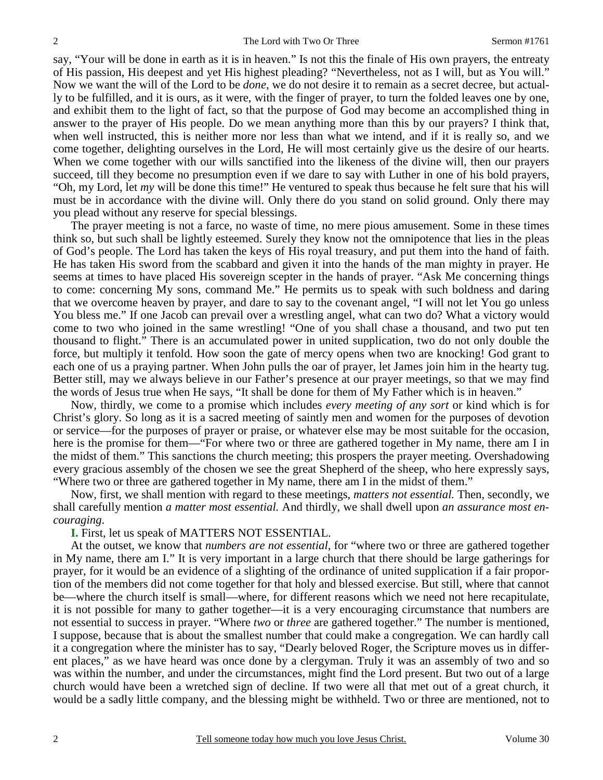say, "Your will be done in earth as it is in heaven." Is not this the finale of His own prayers, the entreaty of His passion, His deepest and yet His highest pleading? "Nevertheless, not as I will, but as You will." Now we want the will of the Lord to be *done*, we do not desire it to remain as a secret decree, but actually to be fulfilled, and it is ours, as it were, with the finger of prayer, to turn the folded leaves one by one, and exhibit them to the light of fact, so that the purpose of God may become an accomplished thing in answer to the prayer of His people. Do we mean anything more than this by our prayers? I think that, when well instructed, this is neither more nor less than what we intend, and if it is really so, and we come together, delighting ourselves in the Lord, He will most certainly give us the desire of our hearts. When we come together with our wills sanctified into the likeness of the divine will, then our prayers succeed, till they become no presumption even if we dare to say with Luther in one of his bold prayers, "Oh, my Lord, let *my* will be done this time!" He ventured to speak thus because he felt sure that his will must be in accordance with the divine will. Only there do you stand on solid ground. Only there may you plead without any reserve for special blessings.

 The prayer meeting is not a farce, no waste of time, no mere pious amusement. Some in these times think so, but such shall be lightly esteemed. Surely they know not the omnipotence that lies in the pleas of God's people. The Lord has taken the keys of His royal treasury, and put them into the hand of faith. He has taken His sword from the scabbard and given it into the hands of the man mighty in prayer. He seems at times to have placed His sovereign scepter in the hands of prayer. "Ask Me concerning things to come: concerning My sons, command Me." He permits us to speak with such boldness and daring that we overcome heaven by prayer, and dare to say to the covenant angel, "I will not let You go unless You bless me." If one Jacob can prevail over a wrestling angel, what can two do? What a victory would come to two who joined in the same wrestling! "One of you shall chase a thousand, and two put ten thousand to flight." There is an accumulated power in united supplication, two do not only double the force, but multiply it tenfold. How soon the gate of mercy opens when two are knocking! God grant to each one of us a praying partner. When John pulls the oar of prayer, let James join him in the hearty tug. Better still, may we always believe in our Father's presence at our prayer meetings, so that we may find the words of Jesus true when He says, "It shall be done for them of My Father which is in heaven."

 Now, thirdly, we come to a promise which includes *every meeting of any sort* or kind which is for Christ's glory. So long as it is a sacred meeting of saintly men and women for the purposes of devotion or service—for the purposes of prayer or praise, or whatever else may be most suitable for the occasion, here is the promise for them—"For where two or three are gathered together in My name, there am I in the midst of them." This sanctions the church meeting; this prospers the prayer meeting. Overshadowing every gracious assembly of the chosen we see the great Shepherd of the sheep, who here expressly says, "Where two or three are gathered together in My name, there am I in the midst of them."

 Now, first, we shall mention with regard to these meetings, *matters not essential.* Then, secondly, we shall carefully mention *a matter most essential.* And thirdly, we shall dwell upon *an assurance most encouraging*.

#### **I.** First, let us speak of MATTERS NOT ESSENTIAL.

 At the outset, we know that *numbers are not essential,* for "where two or three are gathered together in My name, there am I." It is very important in a large church that there should be large gatherings for prayer, for it would be an evidence of a slighting of the ordinance of united supplication if a fair proportion of the members did not come together for that holy and blessed exercise. But still, where that cannot be—where the church itself is small—where, for different reasons which we need not here recapitulate, it is not possible for many to gather together—it is a very encouraging circumstance that numbers are not essential to success in prayer. "Where *two* or *three* are gathered together." The number is mentioned, I suppose, because that is about the smallest number that could make a congregation. We can hardly call it a congregation where the minister has to say, "Dearly beloved Roger, the Scripture moves us in different places," as we have heard was once done by a clergyman. Truly it was an assembly of two and so was within the number, and under the circumstances, might find the Lord present. But two out of a large church would have been a wretched sign of decline. If two were all that met out of a great church, it would be a sadly little company, and the blessing might be withheld. Two or three are mentioned, not to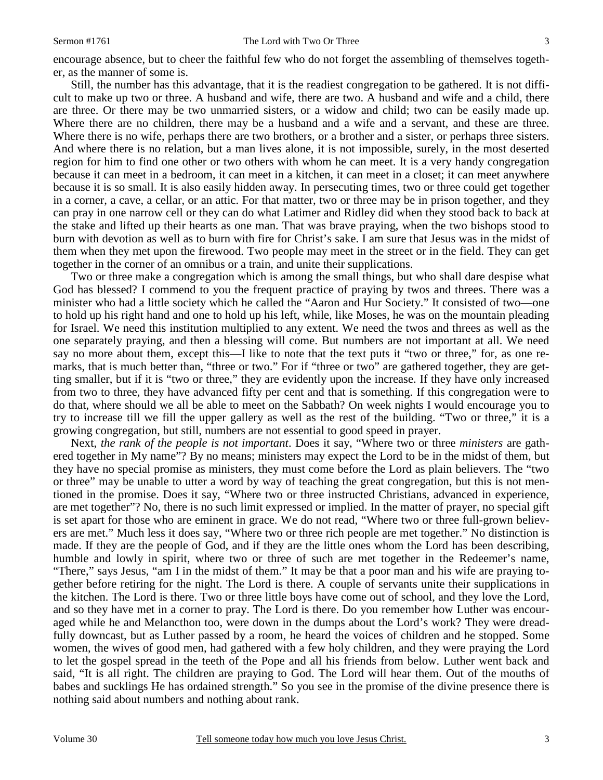Still, the number has this advantage, that it is the readiest congregation to be gathered. It is not difficult to make up two or three. A husband and wife, there are two. A husband and wife and a child, there are three. Or there may be two unmarried sisters, or a widow and child; two can be easily made up. Where there are no children, there may be a husband and a wife and a servant, and these are three. Where there is no wife, perhaps there are two brothers, or a brother and a sister, or perhaps three sisters. And where there is no relation, but a man lives alone, it is not impossible, surely, in the most deserted region for him to find one other or two others with whom he can meet. It is a very handy congregation because it can meet in a bedroom, it can meet in a kitchen, it can meet in a closet; it can meet anywhere because it is so small. It is also easily hidden away. In persecuting times, two or three could get together in a corner, a cave, a cellar, or an attic. For that matter, two or three may be in prison together, and they can pray in one narrow cell or they can do what Latimer and Ridley did when they stood back to back at the stake and lifted up their hearts as one man. That was brave praying, when the two bishops stood to burn with devotion as well as to burn with fire for Christ's sake. I am sure that Jesus was in the midst of them when they met upon the firewood. Two people may meet in the street or in the field. They can get together in the corner of an omnibus or a train, and unite their supplications.

 Two or three make a congregation which is among the small things, but who shall dare despise what God has blessed? I commend to you the frequent practice of praying by twos and threes. There was a minister who had a little society which he called the "Aaron and Hur Society." It consisted of two—one to hold up his right hand and one to hold up his left, while, like Moses, he was on the mountain pleading for Israel. We need this institution multiplied to any extent. We need the twos and threes as well as the one separately praying, and then a blessing will come. But numbers are not important at all. We need say no more about them, except this—I like to note that the text puts it "two or three," for, as one remarks, that is much better than, "three or two." For if "three or two" are gathered together, they are getting smaller, but if it is "two or three," they are evidently upon the increase. If they have only increased from two to three, they have advanced fifty per cent and that is something. If this congregation were to do that, where should we all be able to meet on the Sabbath? On week nights I would encourage you to try to increase till we fill the upper gallery as well as the rest of the building. "Two or three," it is a growing congregation, but still, numbers are not essential to good speed in prayer.

 Next, *the rank of the people is not important*. Does it say, "Where two or three *ministers* are gathered together in My name"? By no means; ministers may expect the Lord to be in the midst of them, but they have no special promise as ministers, they must come before the Lord as plain believers. The "two or three" may be unable to utter a word by way of teaching the great congregation, but this is not mentioned in the promise. Does it say, "Where two or three instructed Christians, advanced in experience, are met together"? No, there is no such limit expressed or implied. In the matter of prayer, no special gift is set apart for those who are eminent in grace. We do not read, "Where two or three full-grown believers are met." Much less it does say, "Where two or three rich people are met together." No distinction is made. If they are the people of God, and if they are the little ones whom the Lord has been describing, humble and lowly in spirit, where two or three of such are met together in the Redeemer's name, "There," says Jesus, "am I in the midst of them." It may be that a poor man and his wife are praying together before retiring for the night. The Lord is there. A couple of servants unite their supplications in the kitchen. The Lord is there. Two or three little boys have come out of school, and they love the Lord, and so they have met in a corner to pray. The Lord is there. Do you remember how Luther was encouraged while he and Melancthon too, were down in the dumps about the Lord's work? They were dreadfully downcast, but as Luther passed by a room, he heard the voices of children and he stopped. Some women, the wives of good men, had gathered with a few holy children, and they were praying the Lord to let the gospel spread in the teeth of the Pope and all his friends from below. Luther went back and said, "It is all right. The children are praying to God. The Lord will hear them. Out of the mouths of babes and sucklings He has ordained strength." So you see in the promise of the divine presence there is nothing said about numbers and nothing about rank.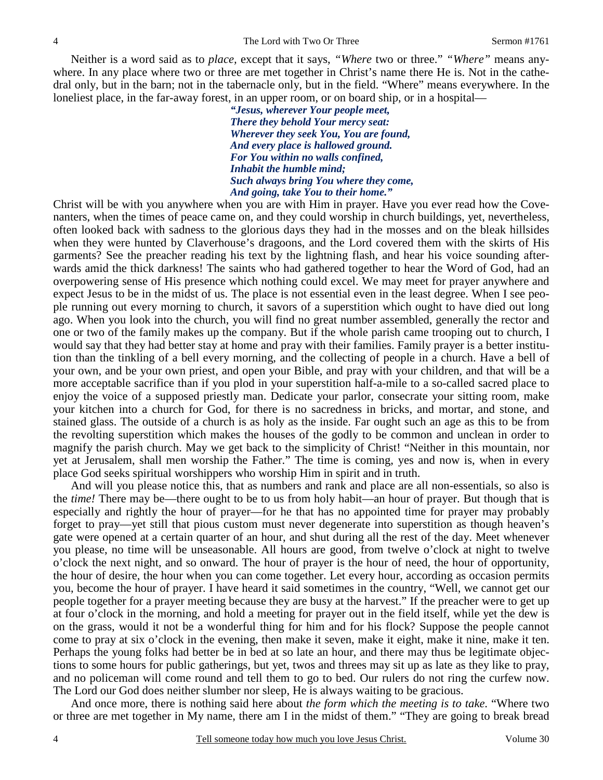Neither is a word said as to *place,* except that it says, *"Where* two or three." *"Where"* means anywhere. In any place where two or three are met together in Christ's name there He is. Not in the cathedral only, but in the barn; not in the tabernacle only, but in the field. "Where" means everywhere. In the loneliest place, in the far-away forest, in an upper room, or on board ship, or in a hospital—

> *"Jesus, wherever Your people meet, There they behold Your mercy seat: Wherever they seek You, You are found, And every place is hallowed ground. For You within no walls confined, Inhabit the humble mind; Such always bring You where they come, And going, take You to their home."*

Christ will be with you anywhere when you are with Him in prayer. Have you ever read how the Covenanters, when the times of peace came on, and they could worship in church buildings, yet, nevertheless, often looked back with sadness to the glorious days they had in the mosses and on the bleak hillsides when they were hunted by Claverhouse's dragoons, and the Lord covered them with the skirts of His garments? See the preacher reading his text by the lightning flash, and hear his voice sounding afterwards amid the thick darkness! The saints who had gathered together to hear the Word of God, had an overpowering sense of His presence which nothing could excel. We may meet for prayer anywhere and expect Jesus to be in the midst of us. The place is not essential even in the least degree. When I see people running out every morning to church, it savors of a superstition which ought to have died out long ago. When you look into the church, you will find no great number assembled, generally the rector and one or two of the family makes up the company. But if the whole parish came trooping out to church, I would say that they had better stay at home and pray with their families. Family prayer is a better institution than the tinkling of a bell every morning, and the collecting of people in a church. Have a bell of your own, and be your own priest, and open your Bible, and pray with your children, and that will be a more acceptable sacrifice than if you plod in your superstition half-a-mile to a so-called sacred place to enjoy the voice of a supposed priestly man. Dedicate your parlor, consecrate your sitting room, make your kitchen into a church for God, for there is no sacredness in bricks, and mortar, and stone, and stained glass. The outside of a church is as holy as the inside. Far ought such an age as this to be from the revolting superstition which makes the houses of the godly to be common and unclean in order to magnify the parish church. May we get back to the simplicity of Christ! "Neither in this mountain, nor yet at Jerusalem, shall men worship the Father." The time is coming, yes and now is, when in every place God seeks spiritual worshippers who worship Him in spirit and in truth.

 And will you please notice this, that as numbers and rank and place are all non-essentials, so also is the *time!* There may be—there ought to be to us from holy habit—an hour of prayer. But though that is especially and rightly the hour of prayer—for he that has no appointed time for prayer may probably forget to pray—yet still that pious custom must never degenerate into superstition as though heaven's gate were opened at a certain quarter of an hour, and shut during all the rest of the day. Meet whenever you please, no time will be unseasonable. All hours are good, from twelve o'clock at night to twelve o'clock the next night, and so onward. The hour of prayer is the hour of need, the hour of opportunity, the hour of desire, the hour when you can come together. Let every hour, according as occasion permits you, become the hour of prayer. I have heard it said sometimes in the country, "Well, we cannot get our people together for a prayer meeting because they are busy at the harvest." If the preacher were to get up at four o'clock in the morning, and hold a meeting for prayer out in the field itself, while yet the dew is on the grass, would it not be a wonderful thing for him and for his flock? Suppose the people cannot come to pray at six o'clock in the evening, then make it seven, make it eight, make it nine, make it ten. Perhaps the young folks had better be in bed at so late an hour, and there may thus be legitimate objections to some hours for public gatherings, but yet, twos and threes may sit up as late as they like to pray, and no policeman will come round and tell them to go to bed. Our rulers do not ring the curfew now. The Lord our God does neither slumber nor sleep, He is always waiting to be gracious.

 And once more, there is nothing said here about *the form which the meeting is to take*. "Where two or three are met together in My name, there am I in the midst of them." "They are going to break bread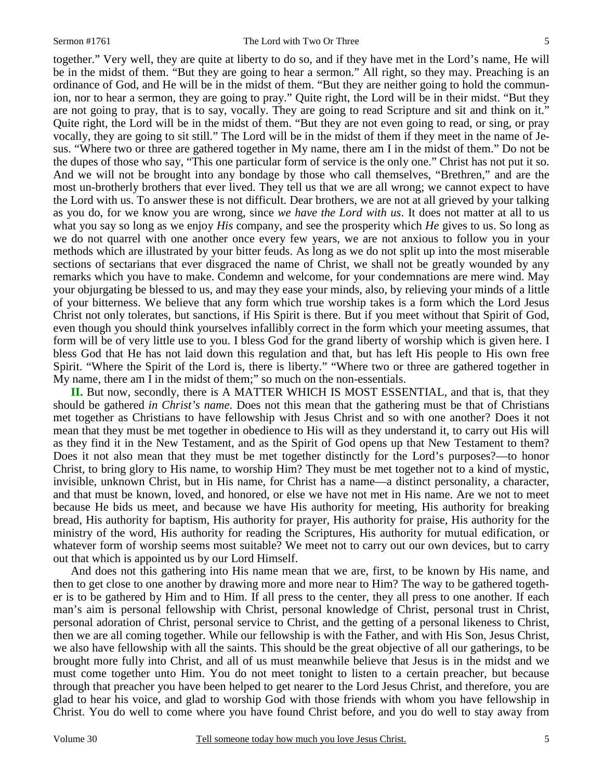together." Very well, they are quite at liberty to do so, and if they have met in the Lord's name, He will be in the midst of them. "But they are going to hear a sermon." All right, so they may. Preaching is an ordinance of God, and He will be in the midst of them. "But they are neither going to hold the communion, nor to hear a sermon, they are going to pray." Quite right, the Lord will be in their midst. "But they are not going to pray, that is to say, vocally. They are going to read Scripture and sit and think on it." Quite right, the Lord will be in the midst of them. "But they are not even going to read, or sing, or pray vocally, they are going to sit still." The Lord will be in the midst of them if they meet in the name of Jesus. "Where two or three are gathered together in My name, there am I in the midst of them." Do not be the dupes of those who say, "This one particular form of service is the only one." Christ has not put it so. And we will not be brought into any bondage by those who call themselves, "Brethren," and are the most un-brotherly brothers that ever lived. They tell us that we are all wrong; we cannot expect to have the Lord with us. To answer these is not difficult. Dear brothers, we are not at all grieved by your talking as you do, for we know you are wrong, since *we have the Lord with us*. It does not matter at all to us what you say so long as we enjoy *His* company, and see the prosperity which *He* gives to us. So long as we do not quarrel with one another once every few years, we are not anxious to follow you in your methods which are illustrated by your bitter feuds. As long as we do not split up into the most miserable sections of sectarians that ever disgraced the name of Christ, we shall not be greatly wounded by any remarks which you have to make. Condemn and welcome, for your condemnations are mere wind. May your objurgating be blessed to us, and may they ease your minds, also, by relieving your minds of a little of your bitterness. We believe that any form which true worship takes is a form which the Lord Jesus Christ not only tolerates, but sanctions, if His Spirit is there. But if you meet without that Spirit of God, even though you should think yourselves infallibly correct in the form which your meeting assumes, that form will be of very little use to you. I bless God for the grand liberty of worship which is given here. I bless God that He has not laid down this regulation and that, but has left His people to His own free Spirit. "Where the Spirit of the Lord is, there is liberty." "Where two or three are gathered together in My name, there am I in the midst of them;" so much on the non-essentials.

**II.** But now, secondly, there is A MATTER WHICH IS MOST ESSENTIAL, and that is, that they should be gathered *in Christ's name*. Does not this mean that the gathering must be that of Christians met together as Christians to have fellowship with Jesus Christ and so with one another? Does it not mean that they must be met together in obedience to His will as they understand it, to carry out His will as they find it in the New Testament, and as the Spirit of God opens up that New Testament to them? Does it not also mean that they must be met together distinctly for the Lord's purposes?—to honor Christ, to bring glory to His name, to worship Him? They must be met together not to a kind of mystic, invisible, unknown Christ, but in His name, for Christ has a name—a distinct personality, a character, and that must be known, loved, and honored, or else we have not met in His name. Are we not to meet because He bids us meet, and because we have His authority for meeting, His authority for breaking bread, His authority for baptism, His authority for prayer, His authority for praise, His authority for the ministry of the word, His authority for reading the Scriptures, His authority for mutual edification, or whatever form of worship seems most suitable? We meet not to carry out our own devices, but to carry out that which is appointed us by our Lord Himself.

 And does not this gathering into His name mean that we are, first, to be known by His name, and then to get close to one another by drawing more and more near to Him? The way to be gathered together is to be gathered by Him and to Him. If all press to the center, they all press to one another. If each man's aim is personal fellowship with Christ, personal knowledge of Christ, personal trust in Christ, personal adoration of Christ, personal service to Christ, and the getting of a personal likeness to Christ, then we are all coming together. While our fellowship is with the Father, and with His Son, Jesus Christ, we also have fellowship with all the saints. This should be the great objective of all our gatherings, to be brought more fully into Christ, and all of us must meanwhile believe that Jesus is in the midst and we must come together unto Him. You do not meet tonight to listen to a certain preacher, but because through that preacher you have been helped to get nearer to the Lord Jesus Christ, and therefore, you are glad to hear his voice, and glad to worship God with those friends with whom you have fellowship in Christ. You do well to come where you have found Christ before, and you do well to stay away from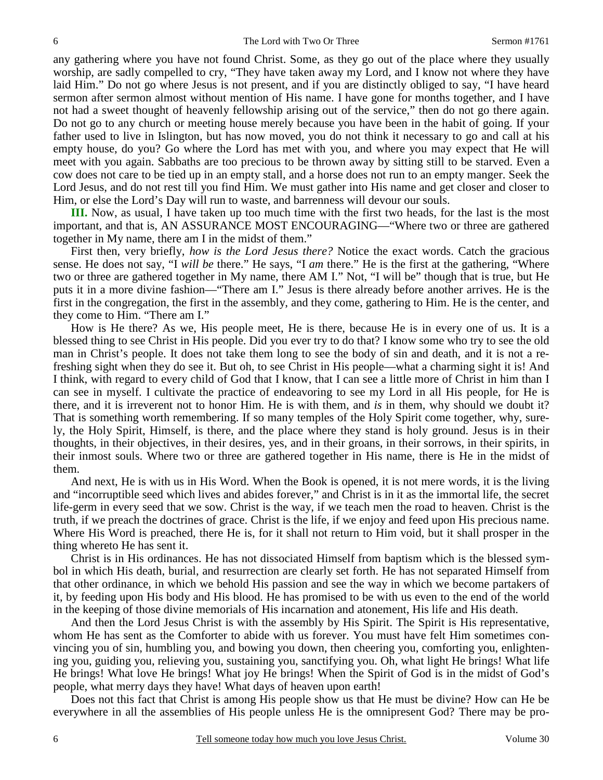any gathering where you have not found Christ. Some, as they go out of the place where they usually worship, are sadly compelled to cry, "They have taken away my Lord, and I know not where they have laid Him." Do not go where Jesus is not present, and if you are distinctly obliged to say, "I have heard sermon after sermon almost without mention of His name. I have gone for months together, and I have not had a sweet thought of heavenly fellowship arising out of the service," then do not go there again. Do not go to any church or meeting house merely because you have been in the habit of going. If your father used to live in Islington, but has now moved, you do not think it necessary to go and call at his empty house, do you? Go where the Lord has met with you, and where you may expect that He will meet with you again. Sabbaths are too precious to be thrown away by sitting still to be starved. Even a cow does not care to be tied up in an empty stall, and a horse does not run to an empty manger. Seek the Lord Jesus, and do not rest till you find Him. We must gather into His name and get closer and closer to Him, or else the Lord's Day will run to waste, and barrenness will devour our souls.

**III.** Now, as usual, I have taken up too much time with the first two heads, for the last is the most important, and that is, AN ASSURANCE MOST ENCOURAGING—"Where two or three are gathered together in My name, there am I in the midst of them."

 First then, very briefly, *how is the Lord Jesus there?* Notice the exact words. Catch the gracious sense. He does not say, "I *will be* there." He says, "I *am* there." He is the first at the gathering, "Where two or three are gathered together in My name, there AM I." Not, "I will be" though that is true, but He puts it in a more divine fashion—"There am I." Jesus is there already before another arrives. He is the first in the congregation, the first in the assembly, and they come, gathering to Him. He is the center, and they come to Him. "There am I."

 How is He there? As we, His people meet, He is there, because He is in every one of us. It is a blessed thing to see Christ in His people. Did you ever try to do that? I know some who try to see the old man in Christ's people. It does not take them long to see the body of sin and death, and it is not a refreshing sight when they do see it. But oh, to see Christ in His people—what a charming sight it is! And I think, with regard to every child of God that I know, that I can see a little more of Christ in him than I can see in myself. I cultivate the practice of endeavoring to see my Lord in all His people, for He is there, and it is irreverent not to honor Him. He is with them, and *is* in them, why should we doubt it? That is something worth remembering. If so many temples of the Holy Spirit come together, why, surely, the Holy Spirit, Himself, is there, and the place where they stand is holy ground. Jesus is in their thoughts, in their objectives, in their desires, yes, and in their groans, in their sorrows, in their spirits, in their inmost souls. Where two or three are gathered together in His name, there is He in the midst of them.

 And next, He is with us in His Word. When the Book is opened, it is not mere words, it is the living and "incorruptible seed which lives and abides forever," and Christ is in it as the immortal life, the secret life-germ in every seed that we sow. Christ is the way, if we teach men the road to heaven. Christ is the truth, if we preach the doctrines of grace. Christ is the life, if we enjoy and feed upon His precious name. Where His Word is preached, there He is, for it shall not return to Him void, but it shall prosper in the thing whereto He has sent it.

 Christ is in His ordinances. He has not dissociated Himself from baptism which is the blessed symbol in which His death, burial, and resurrection are clearly set forth. He has not separated Himself from that other ordinance, in which we behold His passion and see the way in which we become partakers of it, by feeding upon His body and His blood. He has promised to be with us even to the end of the world in the keeping of those divine memorials of His incarnation and atonement, His life and His death.

 And then the Lord Jesus Christ is with the assembly by His Spirit. The Spirit is His representative, whom He has sent as the Comforter to abide with us forever. You must have felt Him sometimes convincing you of sin, humbling you, and bowing you down, then cheering you, comforting you, enlightening you, guiding you, relieving you, sustaining you, sanctifying you. Oh, what light He brings! What life He brings! What love He brings! What joy He brings! When the Spirit of God is in the midst of God's people, what merry days they have! What days of heaven upon earth!

 Does not this fact that Christ is among His people show us that He must be divine? How can He be everywhere in all the assemblies of His people unless He is the omnipresent God? There may be pro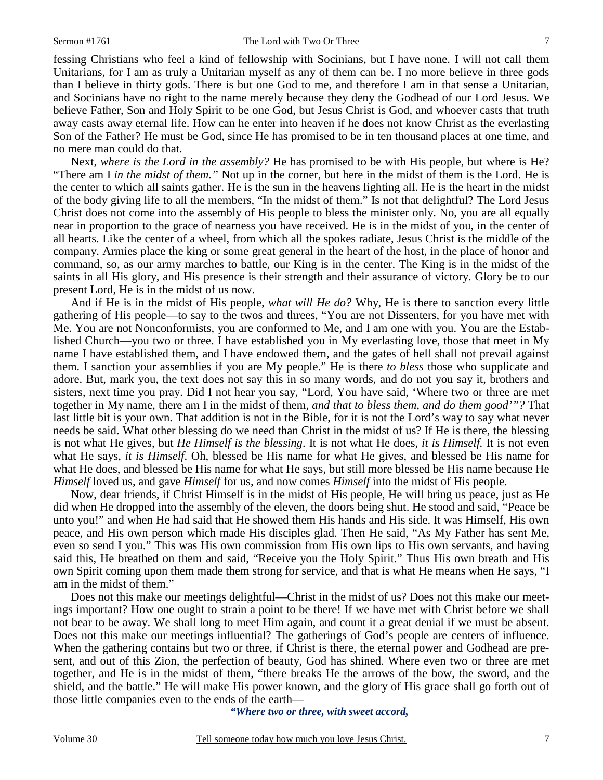fessing Christians who feel a kind of fellowship with Socinians, but I have none. I will not call them Unitarians, for I am as truly a Unitarian myself as any of them can be. I no more believe in three gods than I believe in thirty gods. There is but one God to me, and therefore I am in that sense a Unitarian, and Socinians have no right to the name merely because they deny the Godhead of our Lord Jesus. We believe Father, Son and Holy Spirit to be one God, but Jesus Christ is God, and whoever casts that truth away casts away eternal life. How can he enter into heaven if he does not know Christ as the everlasting Son of the Father? He must be God, since He has promised to be in ten thousand places at one time, and no mere man could do that.

 Next, *where is the Lord in the assembly?* He has promised to be with His people, but where is He? "There am I *in the midst of them."* Not up in the corner, but here in the midst of them is the Lord. He is the center to which all saints gather. He is the sun in the heavens lighting all. He is the heart in the midst of the body giving life to all the members, "In the midst of them." Is not that delightful? The Lord Jesus Christ does not come into the assembly of His people to bless the minister only. No, you are all equally near in proportion to the grace of nearness you have received. He is in the midst of you, in the center of all hearts. Like the center of a wheel, from which all the spokes radiate, Jesus Christ is the middle of the company. Armies place the king or some great general in the heart of the host, in the place of honor and command, so, as our army marches to battle, our King is in the center. The King is in the midst of the saints in all His glory, and His presence is their strength and their assurance of victory. Glory be to our present Lord, He is in the midst of us now.

 And if He is in the midst of His people, *what will He do?* Why, He is there to sanction every little gathering of His people—to say to the twos and threes, "You are not Dissenters, for you have met with Me. You are not Nonconformists, you are conformed to Me, and I am one with you. You are the Established Church—you two or three. I have established you in My everlasting love, those that meet in My name I have established them, and I have endowed them, and the gates of hell shall not prevail against them. I sanction your assemblies if you are My people." He is there *to bless* those who supplicate and adore. But, mark you, the text does not say this in so many words, and do not you say it, brothers and sisters, next time you pray. Did I not hear you say, "Lord, You have said, 'Where two or three are met together in My name, there am I in the midst of them, *and that to bless them, and do them good'"?* That last little bit is your own. That addition is not in the Bible, for it is not the Lord's way to say what never needs be said. What other blessing do we need than Christ in the midst of us? If He is there, the blessing is not what He gives, but *He Himself is the blessing*. It is not what He does, *it is Himself.* It is not even what He says, *it is Himself*. Oh, blessed be His name for what He gives, and blessed be His name for what He does, and blessed be His name for what He says, but still more blessed be His name because He *Himself* loved us, and gave *Himself* for us, and now comes *Himself* into the midst of His people.

 Now, dear friends, if Christ Himself is in the midst of His people, He will bring us peace, just as He did when He dropped into the assembly of the eleven, the doors being shut. He stood and said, "Peace be unto you!" and when He had said that He showed them His hands and His side. It was Himself, His own peace, and His own person which made His disciples glad. Then He said, "As My Father has sent Me, even so send I you." This was His own commission from His own lips to His own servants, and having said this, He breathed on them and said, "Receive you the Holy Spirit." Thus His own breath and His own Spirit coming upon them made them strong for service, and that is what He means when He says, "I am in the midst of them."

 Does not this make our meetings delightful—Christ in the midst of us? Does not this make our meetings important? How one ought to strain a point to be there! If we have met with Christ before we shall not bear to be away. We shall long to meet Him again, and count it a great denial if we must be absent. Does not this make our meetings influential? The gatherings of God's people are centers of influence. When the gathering contains but two or three, if Christ is there, the eternal power and Godhead are present, and out of this Zion, the perfection of beauty, God has shined. Where even two or three are met together, and He is in the midst of them, "there breaks He the arrows of the bow, the sword, and the shield, and the battle." He will make His power known, and the glory of His grace shall go forth out of those little companies even to the ends of the earth—

*"Where two or three, with sweet accord,*